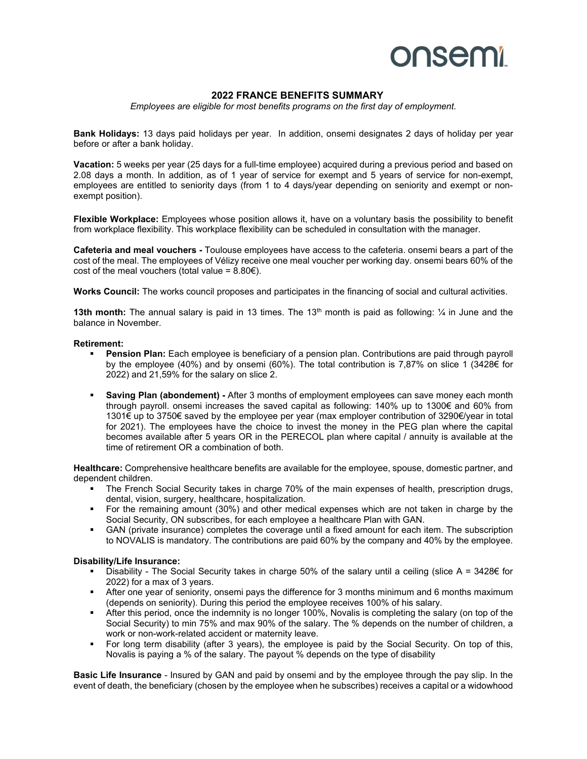# **onsemi**

### **2022 FRANCE BENEFITS SUMMARY**

*Employees are eligible for most benefits programs on the first day of employment.* 

**Bank Holidays:** 13 days paid holidays per year. In addition, onsemi designates 2 days of holiday per year before or after a bank holiday.

**Vacation:** 5 weeks per year (25 days for a full-time employee) acquired during a previous period and based on 2.08 days a month. In addition, as of 1 year of service for exempt and 5 years of service for non-exempt, employees are entitled to seniority days (from 1 to 4 days/year depending on seniority and exempt or nonexempt position).

**Flexible Workplace:** Employees whose position allows it, have on a voluntary basis the possibility to benefit from workplace flexibility. This workplace flexibility can be scheduled in consultation with the manager.

**Cafeteria and meal vouchers -** Toulouse employees have access to the cafeteria. onsemi bears a part of the cost of the meal. The employees of Vélizy receive one meal voucher per working day. onsemi bears 60% of the cost of the meal vouchers (total value =  $8.80\epsilon$ ).

**Works Council:** The works council proposes and participates in the financing of social and cultural activities.

**13th month:** The annual salary is paid in 13 times. The 13th month is paid as following: ¼ in June and the balance in November.

#### **Retirement:**

- **Pension Plan:** Each employee is beneficiary of a pension plan. Contributions are paid through payroll by the employee (40%) and by onsemi (60%). The total contribution is 7,87% on slice 1 (3428€ for 2022) and 21,59% for the salary on slice 2.
- **Saving Plan (abondement)** After 3 months of employment employees can save money each month through payroll. onsemi increases the saved capital as following: 140% up to 1300€ and 60% from 1301€ up to 3750€ saved by the employee per year (max employer contribution of 3290€/year in total for 2021). The employees have the choice to invest the money in the PEG plan where the capital becomes available after 5 years OR in the PERECOL plan where capital / annuity is available at the time of retirement OR a combination of both.

**Healthcare:** Comprehensive healthcare benefits are available for the employee, spouse, domestic partner, and dependent children.

- The French Social Security takes in charge 70% of the main expenses of health, prescription drugs, dental, vision, surgery, healthcare, hospitalization.
- For the remaining amount (30%) and other medical expenses which are not taken in charge by the Social Security, ON subscribes, for each employee a healthcare Plan with GAN.
- GAN (private insurance) completes the coverage until a fixed amount for each item. The subscription to NOVALIS is mandatory. The contributions are paid 60% by the company and 40% by the employee.

#### **Disability/Life Insurance:**

- Disability The Social Security takes in charge 50% of the salary until a ceiling (slice A = 3428€ for 2022) for a max of 3 years.
- After one year of seniority, onsemi pays the difference for 3 months minimum and 6 months maximum (depends on seniority). During this period the employee receives 100% of his salary.
- After this period, once the indemnity is no longer 100%, Novalis is completing the salary (on top of the Social Security) to min 75% and max 90% of the salary. The % depends on the number of children, a work or non-work-related accident or maternity leave.
- For long term disability (after 3 years), the employee is paid by the Social Security. On top of this, Novalis is paying a % of the salary. The payout % depends on the type of disability

**Basic Life Insurance** - Insured by GAN and paid by onsemi and by the employee through the pay slip. In the event of death, the beneficiary (chosen by the employee when he subscribes) receives a capital or a widowhood